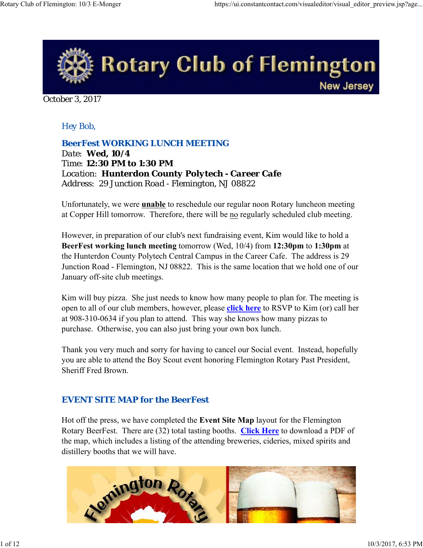

October 3, 2017

### *Hey Bob,*

*BeerFest WORKING LUNCH MEETING*

*Date: Wed, 10/4 Time: 12:30 PM to 1:30 PM Location: Hunterdon County Polytech - Career Cafe Address: 29 Junction Road - Flemington, NJ 08822*

Unfortunately, we were **unable** to reschedule our regular noon Rotary luncheon meeting at Copper Hill tomorrow. Therefore, there will be no regularly scheduled club meeting.

However, in preparation of our club's next fundraising event, Kim would like to hold a **BeerFest working lunch meeting** tomorrow (Wed, 10/4) from **12:30pm** to **1:30pm** at the Hunterdon County Polytech Central Campus in the Career Cafe. The address is 29 Junction Road - Flemington, NJ 08822. This is the same location that we hold one of our January off-site club meetings.

Kim will buy pizza. She just needs to know how many people to plan for. The meeting is open to all of our club members, however, please **click here** to RSVP to Kim (or) call her at 908-310-0634 if you plan to attend. This way she knows how many pizzas to purchase. Otherwise, you can also just bring your own box lunch.

Thank you very much and sorry for having to cancel our Social event. Instead, hopefully you are able to attend the Boy Scout event honoring Flemington Rotary Past President, Sheriff Fred Brown.

#### *EVENT SITE MAP for the BeerFest*

Hot off the press, we have completed the **Event Site Map** layout for the Flemington Rotary BeerFest. There are (32) total tasting booths. **Click Here** to download a PDF of the map, which includes a listing of the attending breweries, cideries, mixed spirits and distillery booths that we will have.

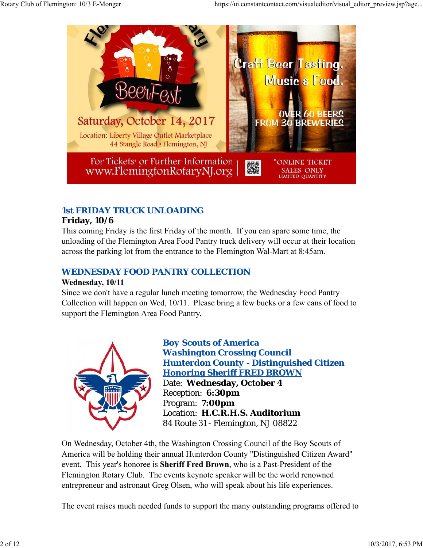

## *1st FRIDAY TRUCK UNLOADING*

## **Friday, 10/6**

This coming Friday is the first Friday of the month. If you can spare some time, the unloading of the Flemington Area Food Pantry truck delivery will occur at their location across the parking lot from the entrance to the Flemington Wal-Mart at 8:45am.

## *WEDNESDAY FOOD PANTRY COLLECTION*

## **Wednesday, 10/11**

Since we don't have a regular lunch meeting tomorrow, the Wednesday Food Pantry Collection will happen on Wed, 10/11. Please bring a few bucks or a few cans of food to support the Flemington Area Food Pantry.



*Boy Scouts of America Washington Crossing Council Hunterdon County - Distinguished Citizen Honoring Sheriff FRED BROWN* Date: **Wednesday, October 4** Reception: **6:30pm** Program: **7:00pm** Location: **H.C.R.H.S. Auditorium** 84 Route 31 - Flemington, NJ 08822

On Wednesday, October 4th, the Washington Crossing Council of the Boy Scouts of America will be holding their annual Hunterdon County "Distinguished Citizen Award" event. This year's honoree is **Sheriff Fred Brown**, who is a Past-President of the Flemington Rotary Club. The events keynote speaker will be the world renowned entrepreneur and astronaut Greg Olsen, who will speak about his life experiences.

The event raises much needed funds to support the many outstanding programs offered to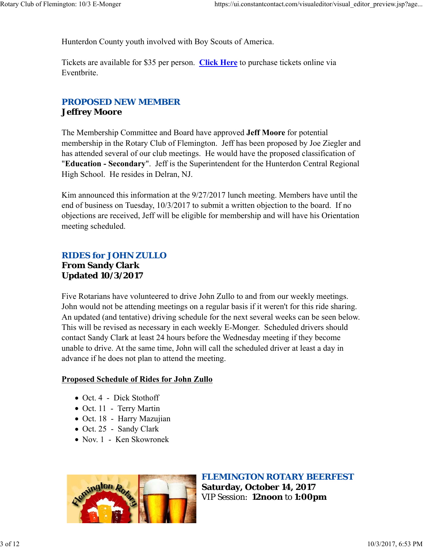Hunterdon County youth involved with Boy Scouts of America.

Tickets are available for \$35 per person. **Click Here** to purchase tickets online via Eventbrite.

#### *PROPOSED NEW MEMBER* **Jeffrey Moore**

The Membership Committee and Board have approved **Jeff Moore** for potential membership in the Rotary Club of Flemington. Jeff has been proposed by Joe Ziegler and has attended several of our club meetings. He would have the proposed classification of "**Education - Secondary**". Jeff is the Superintendent for the Hunterdon Central Regional High School. He resides in Delran, NJ.

Kim announced this information at the 9/27/2017 lunch meeting. Members have until the end of business on Tuesday, 10/3/2017 to submit a written objection to the board. If no objections are received, Jeff will be eligible for membership and will have his Orientation meeting scheduled.

## *RIDES for JOHN ZULLO* **From Sandy Clark Updated 10/3/2017**

Five Rotarians have volunteered to drive John Zullo to and from our weekly meetings. John would not be attending meetings on a regular basis if it weren't for this ride sharing. An updated (and tentative) driving schedule for the next several weeks can be seen below. This will be revised as necessary in each weekly E-Monger. Scheduled drivers should contact Sandy Clark at least 24 hours before the Wednesday meeting if they become unable to drive. At the same time, John will call the scheduled driver at least a day in advance if he does not plan to attend the meeting.

#### **Proposed Schedule of Rides for John Zullo**

- Oct. 4 Dick Stothoff
- Oct. 11 Terry Martin
- Oct. 18 Harry Mazujian
- Oct. 25 Sandy Clark
- Nov. 1 Ken Skowronek



*FLEMINGTON ROTARY BEERFEST* **Saturday, October 14, 2017** VIP Session: **12noon** to **1:00pm**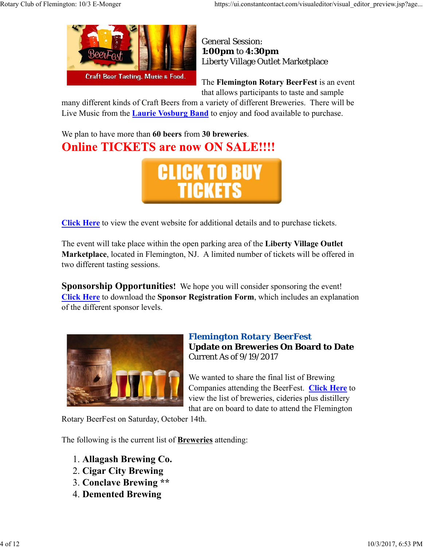

General Session: **1:00pm** to **4:30pm** Liberty Village Outlet Marketplace

The **Flemington Rotary BeerFest** is an event that allows participants to taste and sample

many different kinds of Craft Beers from a variety of different Breweries. There will be Live Music from the **Laurie Vosburg Band** to enjoy and food available to purchase.

We plan to have more than **60 beers** from **30 breweries**. **Online TICKETS are now ON SALE!!!!** 



**Click Here** to view the event website for additional details and to purchase tickets.

The event will take place within the open parking area of the **Liberty Village Outlet Marketplace**, located in Flemington, NJ. A limited number of tickets will be offered in two different tasting sessions.

**Sponsorship Opportunities!** We hope you will consider sponsoring the event! **Click Here** to download the **Sponsor Registration Form**, which includes an explanation of the different sponsor levels.



## *Flemington Rotary BeerFest* **Update on Breweries On Board to Date** Current As of 9/19/2017

We wanted to share the final list of Brewing Companies attending the BeerFest. **Click Here** to view the list of breweries, cideries plus distillery that are on board to date to attend the Flemington

Rotary BeerFest on Saturday, October 14th.

The following is the current list of **Breweries** attending:

- 1. **Allagash Brewing Co.**
- 2. **Cigar City Brewing**
- 3. **Conclave Brewing \*\***
- 4. **Demented Brewing**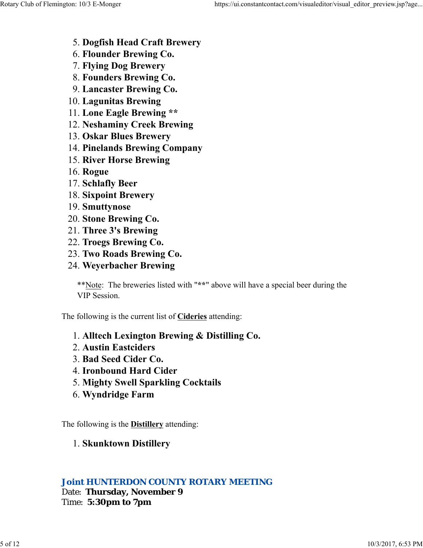- 5. **Dogfish Head Craft Brewery**
- 6. **Flounder Brewing Co.**
- 7. **Flying Dog Brewery**
- 8. **Founders Brewing Co.**
- 9. **Lancaster Brewing Co.**
- 10. **Lagunitas Brewing**
- 11. **Lone Eagle Brewing \*\***
- 12. **Neshaminy Creek Brewing**
- 13. **Oskar Blues Brewery**
- 14. **Pinelands Brewing Company**
- 15. **River Horse Brewing**
- 16. **Rogue**
- 17. **Schlafly Beer**
- 18. **Sixpoint Brewery**
- 19. **Smuttynose**
- 20. **Stone Brewing Co.**
- 21. **Three 3's Brewing**
- 22. **Troegs Brewing Co.**
- 23. **Two Roads Brewing Co.**
- 24. **Weyerbacher Brewing**

\*\*Note: The breweries listed with "**\*\***" above will have a special beer during the VIP Session.

The following is the current list of **Cideries** attending:

- 1. **Alltech Lexington Brewing & Distilling Co.**
- 2. **Austin Eastciders**
- 3. **Bad Seed Cider Co.**
- 4. **Ironbound Hard Cider**
- 5. **Mighty Swell Sparkling Cocktails**
- 6. **Wyndridge Farm**

The following is the **Distillery** attending:

## 1. **Skunktown Distillery**

## *Joint HUNTERDON COUNTY ROTARY MEETING*

Date: **Thursday, November 9** Time: **5:30pm to 7pm**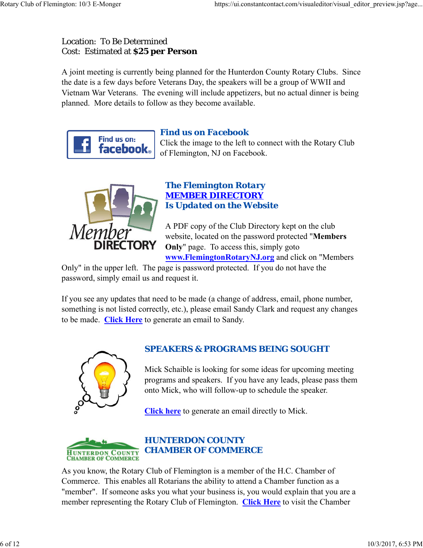## Location: To Be Determined Cost: Estimated at **\$25 per Person**

A joint meeting is currently being planned for the Hunterdon County Rotary Clubs. Since the date is a few days before Veterans Day, the speakers will be a group of WWII and Vietnam War Veterans. The evening will include appetizers, but no actual dinner is being planned. More details to follow as they become available.



## *Find us on Facebook*

Click the image to the left to connect with the Rotary Club of Flemington, NJ on Facebook.



## *The Flemington Rotary MEMBER DIRECTORY Is Updated on the Website*

A PDF copy of the Club Directory kept on the club website, located on the password protected "**Members Only**" page. To access this, simply goto **www.FlemingtonRotaryNJ.org** and click on "Members

Only" in the upper left. The page is password protected. If you do not have the password, simply email us and request it.

If you see any updates that need to be made (a change of address, email, phone number, something is not listed correctly, etc.), please email Sandy Clark and request any changes to be made. **Click Here** to generate an email to Sandy.



## *SPEAKERS & PROGRAMS BEING SOUGHT*

Mick Schaible is looking for some ideas for upcoming meeting programs and speakers. If you have any leads, please pass them onto Mick, who will follow-up to schedule the speaker.

**Click here** to generate an email directly to Mick.



## *HUNTERDON COUNTY CHAMBER OF COMMERCE*

As you know, the Rotary Club of Flemington is a member of the H.C. Chamber of Commerce. This enables all Rotarians the ability to attend a Chamber function as a "member". If someone asks you what your business is, you would explain that you are a member representing the Rotary Club of Flemington. **Click Here** to visit the Chamber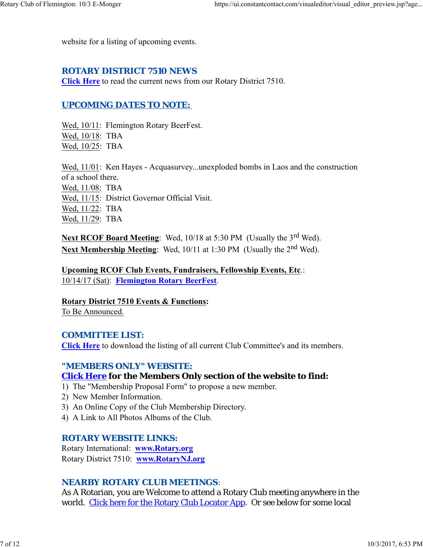website for a listing of upcoming events.

#### *ROTARY DISTRICT 7510 NEWS*

**Click Here** to read the current news from our Rotary District 7510.

#### *UPCOMING DATES TO NOTE:*

Wed, 10/11: Flemington Rotary BeerFest. Wed, 10/18: TBA Wed, 10/25: TBA

Wed, 11/01: Ken Hayes - Acquasurvey...unexploded bombs in Laos and the construction of a school there.

Wed, 11/08: TBA Wed, 11/15: District Governor Official Visit. Wed, 11/22: TBA Wed, 11/29: TBA

Next RCOF Board Meeting: Wed, 10/18 at 5:30 PM (Usually the 3<sup>rd</sup> Wed). **Next Membership Meeting:** Wed, 10/11 at 1:30 PM (Usually the 2<sup>nd</sup> Wed).

**Upcoming RCOF Club Events, Fundraisers, Fellowship Events, Etc**.: 10/14/17 (Sat): **Flemington Rotary BeerFest**.

**Rotary District 7510 Events & Functions:** To Be Announced.

#### *COMMITTEE LIST:*

**Click Here** to download the listing of all current Club Committee's and its members.

#### *"MEMBERS ONLY" WEBSITE:*

#### **Click Here for the Members Only section of the website to find:**

- 1) The "Membership Proposal Form" to propose a new member.
- 2) New Member Information.
- 3) An Online Copy of the Club Membership Directory.
- 4) A Link to All Photos Albums of the Club.

#### *ROTARY WEBSITE LINKS:*

Rotary International: **www.Rotary.org** Rotary District 7510: **www.RotaryNJ.org**

#### *NEARBY ROTARY CLUB MEETINGS:*

As A Rotarian, you are Welcome to attend a Rotary Club meeting anywhere in the world. Click here for the Rotary Club Locator App. Or see below for some local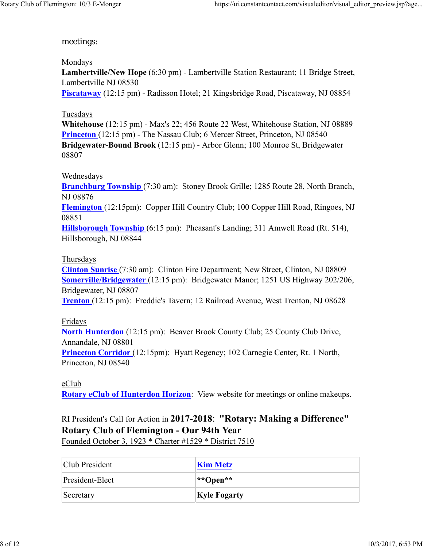### meetings:

Mondays **Lambertville/New Hope** (6:30 pm) - Lambertville Station Restaurant; 11 Bridge Street, Lambertville NJ 08530 **Piscataway** (12:15 pm) - Radisson Hotel; 21 Kingsbridge Road, Piscataway, NJ 08854

### Tuesdays

**Whitehouse** (12:15 pm) - Max's 22; 456 Route 22 West, Whitehouse Station, NJ 08889 **Princeton** (12:15 pm) - The Nassau Club; 6 Mercer Street, Princeton, NJ 08540 **Bridgewater-Bound Brook** (12:15 pm) - Arbor Glenn; 100 Monroe St, Bridgewater 08807

### Wednesdays

**Branchburg Township** (7:30 am): Stoney Brook Grille; 1285 Route 28, North Branch, NJ 08876 **Flemington** (12:15pm): Copper Hill Country Club; 100 Copper Hill Road, Ringoes, NJ 08851 **Hillsborough Township** (6:15 pm): Pheasant's Landing; 311 Amwell Road (Rt. 514), Hillsborough, NJ 08844

### Thursdays

**Clinton Sunrise** (7:30 am): Clinton Fire Department; New Street, Clinton, NJ 08809 **Somerville/Bridgewater** (12:15 pm): Bridgewater Manor; 1251 US Highway 202/206, Bridgewater, NJ 08807

**Trenton** (12:15 pm): Freddie's Tavern; 12 Railroad Avenue, West Trenton, NJ 08628

Fridays

**North Hunterdon** (12:15 pm): Beaver Brook County Club; 25 County Club Drive, Annandale, NJ 08801

**Princeton Corridor** (12:15pm): Hyatt Regency; 102 Carnegie Center, Rt. 1 North, Princeton, NJ 08540

#### eClub

**Rotary eClub of Hunterdon Horizon**: View website for meetings or online makeups.

# RI President's Call for Action in **2017-2018**: **"Rotary: Making a Difference" Rotary Club of Flemington - Our 94th Year**

Founded October 3, 1923 \* Charter #1529 \* District 7510

| Club President  | <b>Kim Metz</b>        |
|-----------------|------------------------|
| President-Elect | $\ast$ Open $\ast\ast$ |
| Secretary       | <b>Kyle Fogarty</b>    |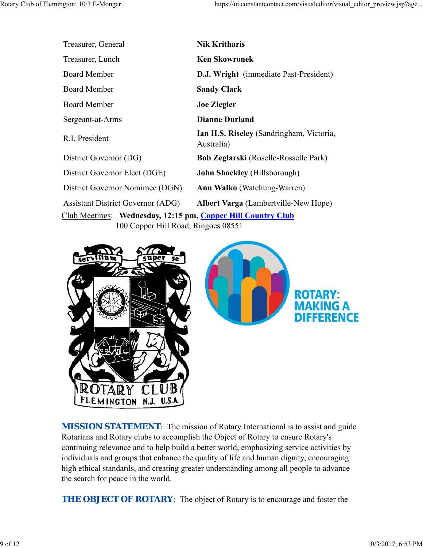| Treasurer, General                                           | <b>Nik Kritharis</b>                                   |  |  |  |
|--------------------------------------------------------------|--------------------------------------------------------|--|--|--|
| Treasurer, Lunch                                             | <b>Ken Skowronek</b>                                   |  |  |  |
| <b>Board Member</b>                                          | <b>D.J. Wright</b> (immediate Past-President)          |  |  |  |
| <b>Board Member</b>                                          | <b>Sandy Clark</b>                                     |  |  |  |
| <b>Board Member</b>                                          | <b>Joe Ziegler</b>                                     |  |  |  |
| Sergeant-at-Arms                                             | <b>Dianne Durland</b>                                  |  |  |  |
| R.I. President                                               | Ian H.S. Riseley (Sandringham, Victoria,<br>Australia) |  |  |  |
| District Governor (DG)                                       | <b>Bob Zeglarski</b> (Roselle-Rosselle Park)           |  |  |  |
| District Governor Elect (DGE)                                | <b>John Shockley</b> (Hillsborough)                    |  |  |  |
| District Governor Nomimee (DGN)                              | <b>Ann Walko</b> (Watchung-Warren)                     |  |  |  |
| <b>Assistant District Governor (ADG)</b>                     | <b>Albert Varga</b> (Lambertville-New Hope)            |  |  |  |
| Club Meetings: Wednesday, 12:15 pm, Copper Hill Country Club |                                                        |  |  |  |
| 100 Copper Hill Road, Ringoes 08551                          |                                                        |  |  |  |





*MISSION STATEMENT*: The mission of Rotary International is to assist and guide Rotarians and Rotary clubs to accomplish the Object of Rotary to ensure Rotary's continuing relevance and to help build a better world, emphasizing service activities by individuals and groups that enhance the quality of life and human dignity, encouraging high ethical standards, and creating greater understanding among all people to advance the search for peace in the world.

*THE OBJECT OF ROTARY*: The object of Rotary is to encourage and foster the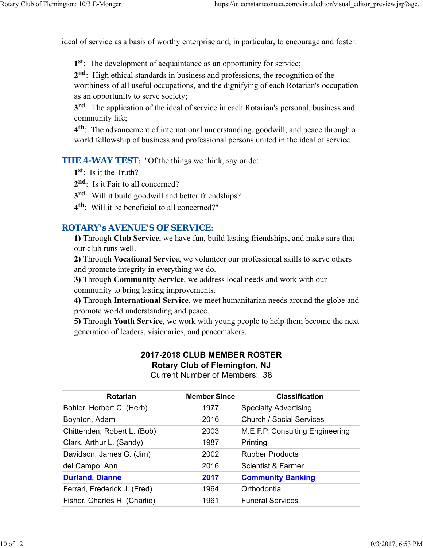ideal of service as a basis of worthy enterprise and, in particular, to encourage and foster:

**1st**: The development of acquaintance as an opportunity for service;

**2nd**: High ethical standards in business and professions, the recognition of the worthiness of all useful occupations, and the dignifying of each Rotarian's occupation as an opportunity to serve society;

**3rd**: The application of the ideal of service in each Rotarian's personal, business and community life;

**4th**: The advancement of international understanding, goodwill, and peace through a world fellowship of business and professional persons united in the ideal of service.

**THE 4-WAY TEST:** "Of the things we think, say or do:

**1st**: Is it the Truth?

**2nd**: Is it Fair to all concerned?

**3rd**: Will it build goodwill and better friendships?

**4th**: Will it be beneficial to all concerned?"

#### *ROTARY's AVENUE'S OF SERVICE*:

**1)** Through **Club Service**, we have fun, build lasting friendships, and make sure that our club runs well.

**2)** Through **Vocational Service**, we volunteer our professional skills to serve others and promote integrity in everything we do.

**3)** Through **Community Service**, we address local needs and work with our community to bring lasting improvements.

**4)** Through **International Service**, we meet humanitarian needs around the globe and promote world understanding and peace.

**5)** Through **Youth Service**, we work with young people to help them become the next generation of leaders, visionaries, and peacemakers.

## **2017-2018 CLUB MEMBER ROSTER Rotary Club of Flemington, NJ**

Current Number of Members: 38

| <b>Rotarian</b>              | <b>Member Since</b> | <b>Classification</b>           |
|------------------------------|---------------------|---------------------------------|
| Bohler, Herbert C. (Herb)    | 1977                | <b>Specialty Advertising</b>    |
| Boynton, Adam                | 2016                | <b>Church / Social Services</b> |
| Chittenden, Robert L. (Bob)  | 2003                | M.E.F.P. Consulting Engineering |
| Clark, Arthur L. (Sandy)     | 1987                | Printing                        |
| Davidson, James G. (Jim)     | 2002                | <b>Rubber Products</b>          |
| del Campo, Ann               | 2016                | <b>Scientist &amp; Farmer</b>   |
| <b>Durland, Dianne</b>       | 2017                | <b>Community Banking</b>        |
| Ferrari, Frederick J. (Fred) | 1964                | Orthodontia                     |
| Fisher, Charles H. (Charlie) | 1961                | <b>Funeral Services</b>         |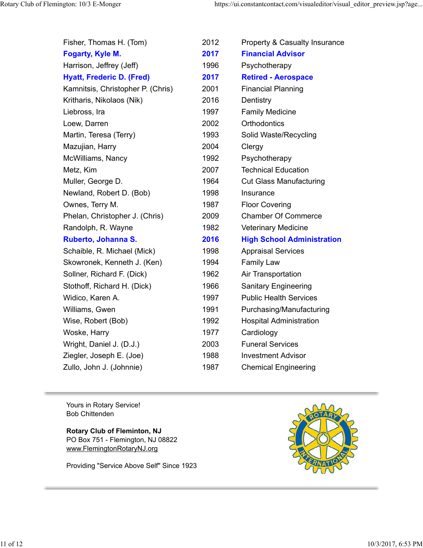| Fisher, Thomas H. (Tom)           | 2012 | <b>Property &amp; Casualty Insurance</b> |
|-----------------------------------|------|------------------------------------------|
| Fogarty, Kyle M.                  | 2017 | <b>Financial Advisor</b>                 |
| Harrison, Jeffrey (Jeff)          | 1996 | Psychotherapy                            |
| <b>Hyatt, Frederic D. (Fred)</b>  | 2017 | <b>Retired - Aerospace</b>               |
| Kamnitsis, Christopher P. (Chris) | 2001 | <b>Financial Planning</b>                |
| Kritharis, Nikolaos (Nik)         | 2016 | Dentistry                                |
| Liebross, Ira                     | 1997 | <b>Family Medicine</b>                   |
| Loew, Darren                      | 2002 | Orthodontics                             |
| Martin, Teresa (Terry)            | 1993 | Solid Waste/Recycling                    |
| Mazujian, Harry                   | 2004 | Clergy                                   |
| McWilliams, Nancy                 | 1992 | Psychotherapy                            |
| Metz, Kim                         | 2007 | <b>Technical Education</b>               |
| Muller, George D.                 | 1964 | <b>Cut Glass Manufacturing</b>           |
| Newland, Robert D. (Bob)          | 1998 | Insurance                                |
| Ownes, Terry M.                   | 1987 | <b>Floor Covering</b>                    |
| Phelan, Christopher J. (Chris)    | 2009 | <b>Chamber Of Commerce</b>               |
| Randolph, R. Wayne                | 1982 | <b>Veterinary Medicine</b>               |
| Ruberto, Johanna S.               | 2016 | <b>High School Administration</b>        |
| Schaible, R. Michael (Mick)       | 1998 | <b>Appraisal Services</b>                |
| Skowronek, Kenneth J. (Ken)       | 1994 | <b>Family Law</b>                        |
| Sollner, Richard F. (Dick)        | 1962 | Air Transportation                       |
| Stothoff, Richard H. (Dick)       | 1966 | <b>Sanitary Engineering</b>              |
| Widico, Karen A.                  | 1997 | <b>Public Health Services</b>            |
| Williams, Gwen                    | 1991 | Purchasing/Manufacturing                 |
| Wise, Robert (Bob)                | 1992 | <b>Hospital Administration</b>           |
| Woske, Harry                      | 1977 | Cardiology                               |
| Wright, Daniel J. (D.J.)          | 2003 | <b>Funeral Services</b>                  |
| Ziegler, Joseph E. (Joe)          | 1988 | <b>Investment Advisor</b>                |
| Zullo, John J. (Johnnie)          | 1987 | <b>Chemical Engineering</b>              |

Yours in Rotary Service! Bob Chittenden

**Rotary Club of Fleminton, NJ** PO Box 751 - Flemington, NJ 08822 www.FlemingtonRotaryNJ.org

Providing "Service Above Self" Since 1923